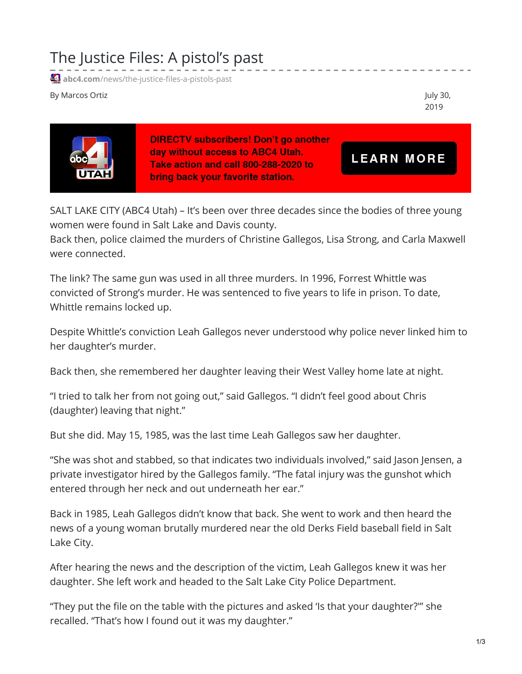## The Justice Files: A pistol's past

**41** abc4.com[/news/the-justice-files-a-pistols-past](https://www.abc4.com/news/the-justice-files-a-pistols-past/)

By Marcos Ortiz **Alternative Community Community** Community Community Community Community Community Community Community Community Community Community Community Community Community Community Community Community Community Co

2019



**DIRECTV subscribers! Don't go another** day without access to ABC4 Utah. Take action and call 800-288-2020 to bring back your favorite station.

**LEARN MORE** 

SALT LAKE CITY (ABC4 Utah) – It's been over three decades since the bodies of three young women were found in Salt Lake and Davis county.

Back then, police claimed the murders of Christine Gallegos, Lisa Strong, and Carla Maxwell were connected.

The link? The same gun was used in all three murders. In 1996, Forrest Whittle was convicted of Strong's murder. He was sentenced to five years to life in prison. To date, Whittle remains locked up.

Despite Whittle's conviction Leah Gallegos never understood why police never linked him to her daughter's murder.

Back then, she remembered her daughter leaving their West Valley home late at night.

"I tried to talk her from not going out," said Gallegos. "I didn't feel good about Chris (daughter) leaving that night."

But she did. May 15, 1985, was the last time Leah Gallegos saw her daughter.

"She was shot and stabbed, so that indicates two individuals involved," said Jason Jensen, a private investigator hired by the Gallegos family. "The fatal injury was the gunshot which entered through her neck and out underneath her ear."

Back in 1985, Leah Gallegos didn't know that back. She went to work and then heard the news of a young woman brutally murdered near the old Derks Field baseball field in Salt Lake City.

After hearing the news and the description of the victim, Leah Gallegos knew it was her daughter. She left work and headed to the Salt Lake City Police Department.

"They put the file on the table with the pictures and asked 'Is that your daughter?'" she recalled. "That's how I found out it was my daughter."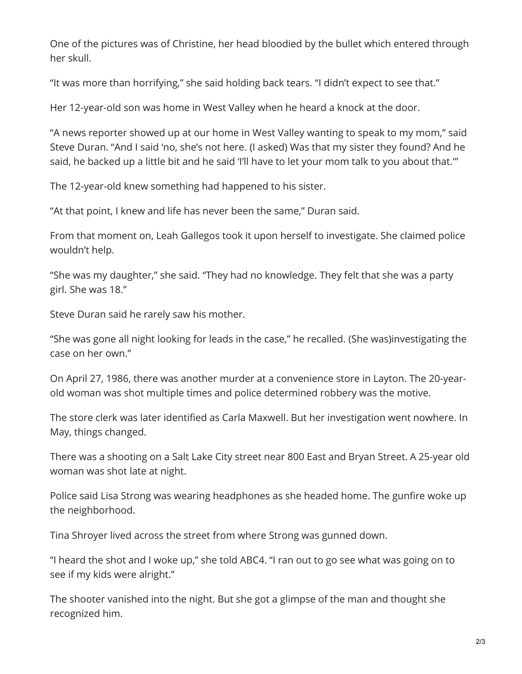One of the pictures was of Christine, her head bloodied by the bullet which entered through her skull.

"It was more than horrifying," she said holding back tears. "I didn't expect to see that."

Her 12-year-old son was home in West Valley when he heard a knock at the door.

"A news reporter showed up at our home in West Valley wanting to speak to my mom," said Steve Duran. "And I said 'no, she's not here. (I asked) Was that my sister they found? And he said, he backed up a little bit and he said 'I'll have to let your mom talk to you about that."'

The 12-year-old knew something had happened to his sister.

"At that point, I knew and life has never been the same," Duran said.

From that moment on, Leah Gallegos took it upon herself to investigate. She claimed police wouldn't help.

"She was my daughter," she said. "They had no knowledge. They felt that she was a party girl. She was 18."

Steve Duran said he rarely saw his mother.

"She was gone all night looking for leads in the case," he recalled. (She was)investigating the case on her own."

On April 27, 1986, there was another murder at a convenience store in Layton. The 20-yearold woman was shot multiple times and police determined robbery was the motive.

The store clerk was later identified as Carla Maxwell. But her investigation went nowhere. In May, things changed.

There was a shooting on a Salt Lake City street near 800 East and Bryan Street. A 25-year old woman was shot late at night.

Police said Lisa Strong was wearing headphones as she headed home. The gunfire woke up the neighborhood.

Tina Shroyer lived across the street from where Strong was gunned down.

"I heard the shot and I woke up," she told ABC4. "I ran out to go see what was going on to see if my kids were alright."

The shooter vanished into the night. But she got a glimpse of the man and thought she recognized him.